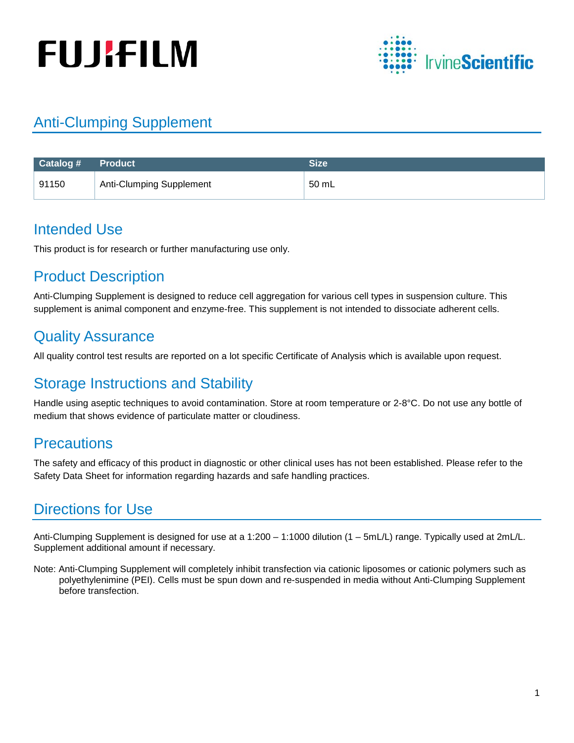# **FUJIFILM**



## Anti-Clumping Supplement

| Catalog # | <b>Product</b>                  | <b>Size</b> |
|-----------|---------------------------------|-------------|
| 91150     | <b>Anti-Clumping Supplement</b> | 50 mL       |

## Intended Use

This product is for research or further manufacturing use only.

## Product Description

Anti-Clumping Supplement is designed to reduce cell aggregation for various cell types in suspension culture. This supplement is animal component and enzyme-free. This supplement is not intended to dissociate adherent cells.

## Quality Assurance

All quality control test results are reported on a lot specific Certificate of Analysis which is available upon request.

## Storage Instructions and Stability

Handle using aseptic techniques to avoid contamination. Store at room temperature or 2-8°C. Do not use any bottle of medium that shows evidence of particulate matter or cloudiness.

## **Precautions**

The safety and efficacy of this product in diagnostic or other clinical uses has not been established. Please refer to the Safety Data Sheet for information regarding hazards and safe handling practices.

## Directions for Use

Anti-Clumping Supplement is designed for use at a 1:200 – 1:1000 dilution (1 – 5mL/L) range. Typically used at 2mL/L. Supplement additional amount if necessary.

Note: Anti-Clumping Supplement will completely inhibit transfection via cationic liposomes or cationic polymers such as polyethylenimine (PEI). Cells must be spun down and re-suspended in media without Anti-Clumping Supplement before transfection.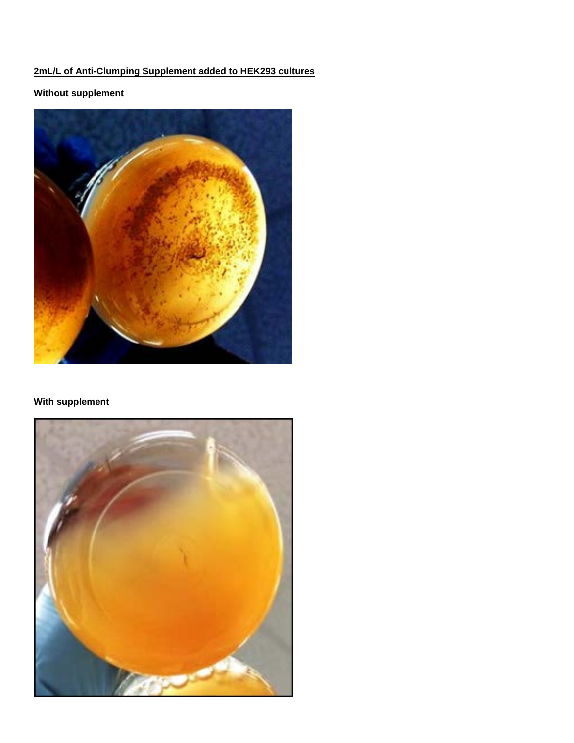### **2mL/L of Anti-Clumping Supplement added to HEK293 cultures**

### **Without supplement**



#### **With supplement**